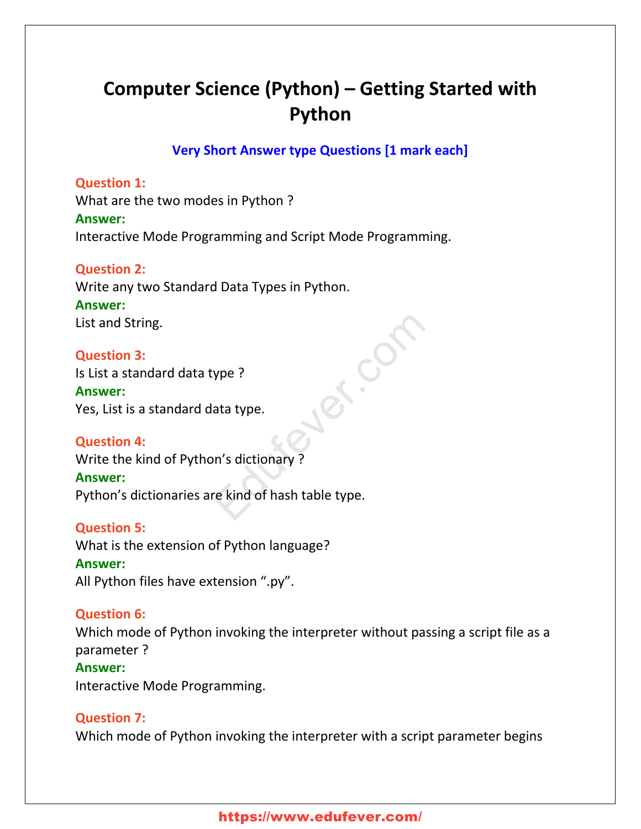# **Computer Science (Python) – Getting Started with Python**

**Very Short Answer type Questions [1 mark each]**

ed.com

### **Question 1:**

What are the two modes in Python ? **Answer:** Interactive Mode Programming and Script Mode Programming.

# **Question 2:**

Write any two Standard Data Types in Python. **Answer:** List and String.

#### **Question 3:**

Is List a standard data type ? **Answer:** Yes, List is a standard data type.

#### **Question 4:**

Write the kind of Python's dictionary ?

# **Answer:**

Python's dictionaries are kind of hash table type.

#### **Question 5:**

What is the extension of Python language?

# **Answer:**

All Python files have extension ".py".

# **Question 6:**

Which mode of Python invoking the interpreter without passing a script file as a parameter ?

#### **Answer:**

Interactive Mode Programming.

# **Question 7:**

Which mode of Python invoking the interpreter with a script parameter begins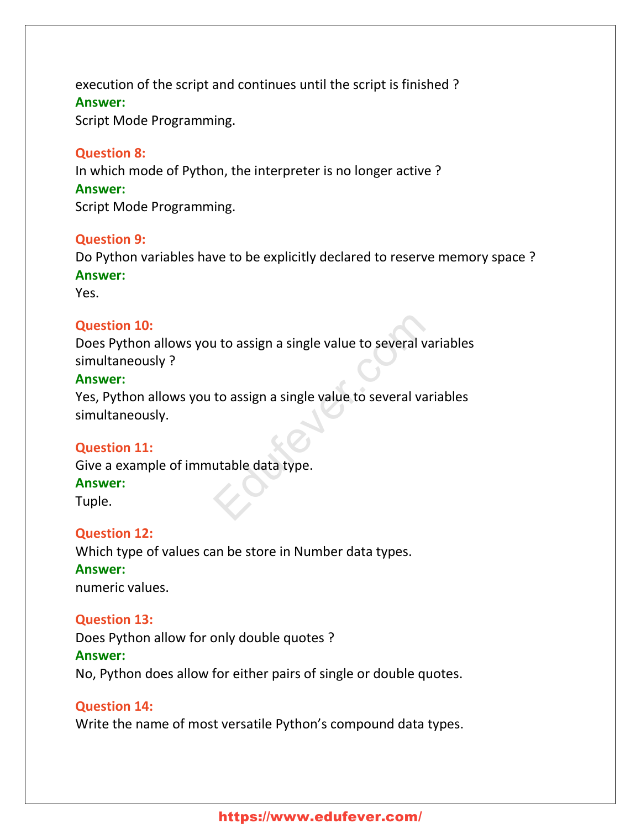execution of the script and continues until the script is finished ? **Answer:** Script Mode Programming.

#### **Question 8:**

In which mode of Python, the interpreter is no longer active ? **Answer:** Script Mode Programming.

#### **Question 9:**

Do Python variables have to be explicitly declared to reserve memory space ? **Answer:**

Yes.

#### **Question 10:**

Does Python allows you to assign a single value to several variables simultaneously ? Let to assign a single value to several variant to assign a single value to several variant<br>to assign a single value to several variant<br>utable data type.

#### **Answer:**

Yes, Python allows you to assign a single value to several variables simultaneously.

#### **Question 11:**

Give a example of immutable data type.

#### **Answer:**

Tuple.

#### **Question 12:**

Which type of values can be store in Number data types. **Answer:** numeric values.

#### **Question 13:**

Does Python allow for only double quotes ?

#### **Answer:**

No, Python does allow for either pairs of single or double quotes.

#### **Question 14:**

Write the name of most versatile Python's compound data types.

# https://www.edufever.com/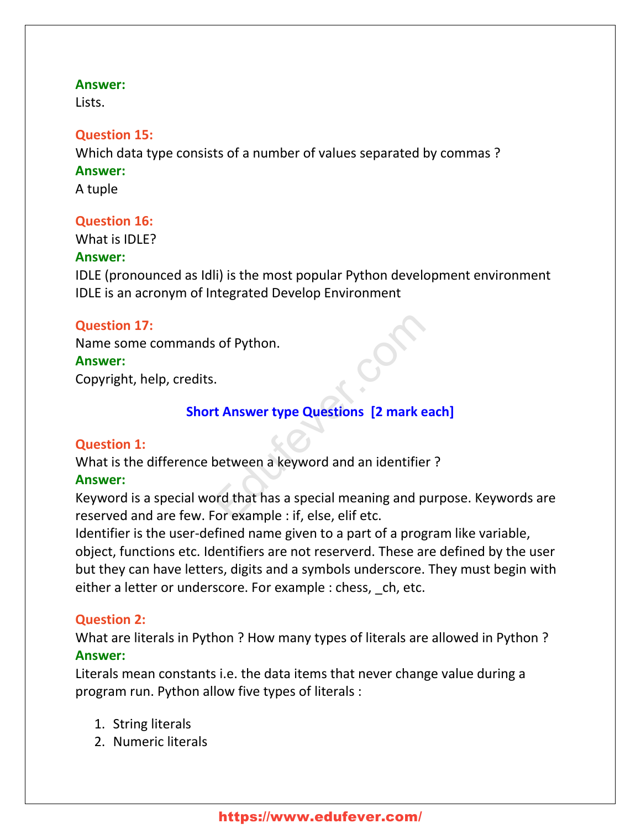#### **Answer:**

Lists.

#### **Question 15:**

Which data type consists of a number of values separated by commas ? **Answer:** A tuple

# **Question 16:**

What is IDLE?

### **Answer:**

IDLE (pronounced as Idli) is the most popular Python development environment IDLE is an acronym of Integrated Develop Environment

# **Question 17:**

Name some commands of Python.

### **Answer:**

Copyright, help, credits.

# **Short Answer type Questions [2 mark each]**

# **Question 1:**

What is the difference between a keyword and an identifier ?

# **Answer:**

Keyword is a special word that has a special meaning and purpose. Keywords are reserved and are few. For example : if, else, elif etc. S of Python.<br>
Example 2. The Constant of Python States of Python.<br>
Example 2. The Section States of Python States of Python States and Python States Constants and Python States Constants Constants Constants Constants Const

Identifier is the user-defined name given to a part of a program like variable, object, functions etc. Identifiers are not reserverd. These are defined by the user but they can have letters, digits and a symbols underscore. They must begin with either a letter or underscore. For example : chess, ch, etc.

# **Question 2:**

What are literals in Python ? How many types of literals are allowed in Python ? **Answer:**

Literals mean constants i.e. the data items that never change value during a program run. Python allow five types of literals :

- 1. String literals
- 2. Numeric literals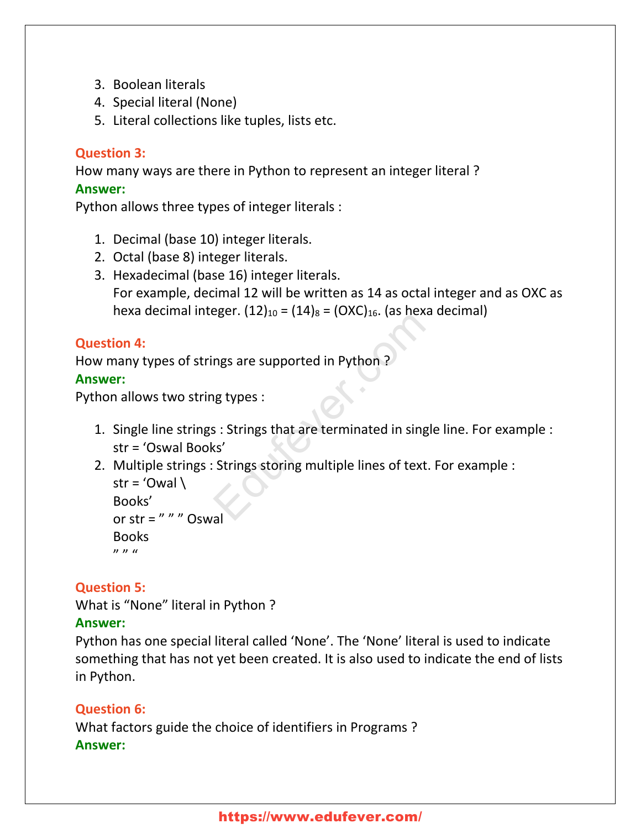- 3. Boolean literals
- 4. Special literal (None)
- 5. Literal collections like tuples, lists etc.

# **Question 3:**

How many ways are there in Python to represent an integer literal ? **Answer:**

Python allows three types of integer literals :

- 1. Decimal (base 10) integer literals.
- 2. Octal (base 8) integer literals.
- 3. Hexadecimal (base 16) integer literals. For example, decimal 12 will be written as 14 as octal integer and as OXC as hexa decimal integer.  $(12)_{10} = (14)_8 = (OXC)_{16}$ . (as hexa decimal)

# **Question 4:**

How many types of strings are supported in Python ?

### **Answer:**

Python allows two string types :

- 1. Single line strings : Strings that are terminated in single line. For example : str = 'Oswal Books'
- 2. Multiple strings : Strings storing multiple lines of text. For example : str = 'Owal  $\setminus$ Books' right are supported in Python ?<br>
In Python ?<br>
In Python ?<br>
In Example 3: Strings that are terminated in single<br>
Second Strings storing multiple lines of text. F

```
or str = " " " Oswal"Books
\boldsymbol{v} \boldsymbol{v} \boldsymbol{u}
```
# **Question 5:**

What is "None" literal in Python ?

# **Answer:**

Python has one special literal called 'None'. The 'None' literal is used to indicate something that has not yet been created. It is also used to indicate the end of lists in Python.

# **Question 6:**

What factors guide the choice of identifiers in Programs ? **Answer:**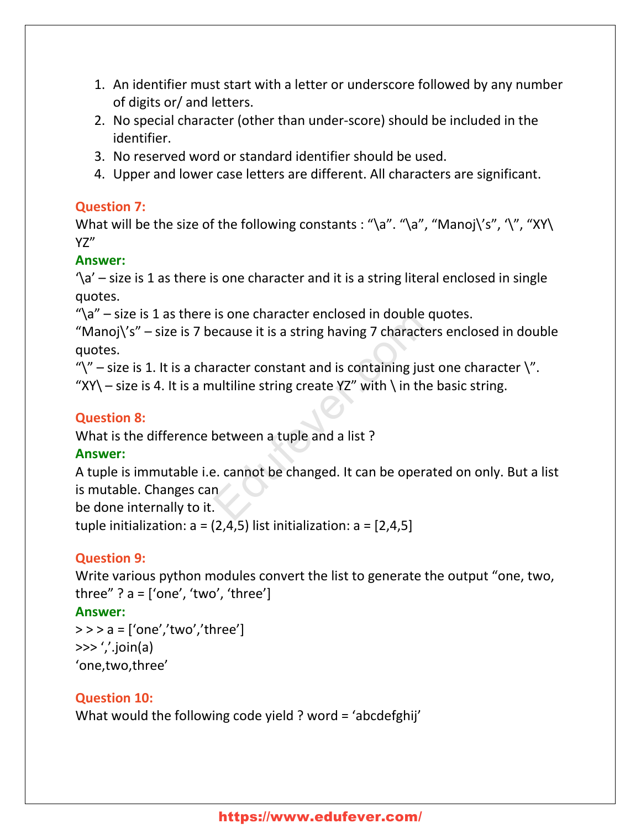- 1. An identifier must start with a letter or underscore followed by any number of digits or/ and letters.
- 2. No special character (other than under-score) should be included in the identifier.
- 3. No reserved word or standard identifier should be used.
- 4. Upper and lower case letters are different. All characters are significant.

# **Question 7:**

What will be the size of the following constants : "\a". "\a", "Manoj\'s", '\", "XY\ YZ"

# **Answer:**

 $\alpha'$  – size is 1 as there is one character and it is a string literal enclosed in single quotes.

" $\alpha$ " – size is 1 as there is one character enclosed in double quotes.

"Manoj $\zeta$ 's" – size is 7 because it is a string having 7 characters enclosed in double quotes.

" $\gamma$ " – size is 1. It is a character constant and is containing just one character  $\gamma$ ".

"XY\ – size is 4. It is a multiline string create YZ" with \ in the basic string.

# **Question 8:**

What is the difference between a tuple and a list ?

# **Answer:**

A tuple is immutable i.e. cannot be changed. It can be operated on only. But a list is mutable. Changes can Is one character enclosed in double quedes it is a string having 7 characters<br>
in double quedes it is a string having 7 characters<br>
in ultiline string create YZ" with \ in the b<br>
between a tuple and a list ?<br>
e. cannot be

be done internally to it.

tuple initialization:  $a = (2, 4, 5)$  list initialization:  $a = [2, 4, 5]$ 

# **Question 9:**

Write various python modules convert the list to generate the output "one, two, three" ?  $a =$  ['one', 'two', 'three']

# **Answer:**

```
>> a = ['one','two','three']
\gg \frac{'}{'}.join(a)
'one,two,three'
```
# **Question 10:**

What would the following code yield ? word = 'abcdefghij'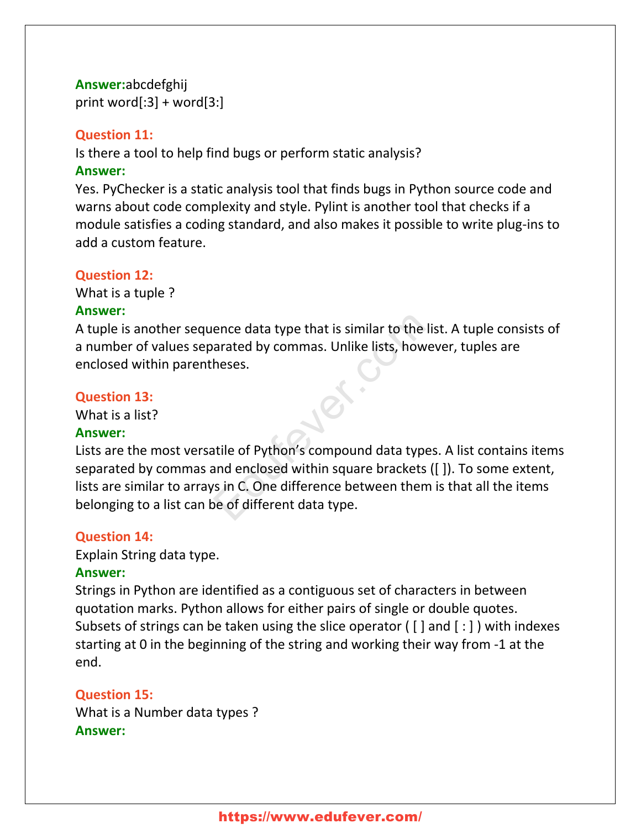# **Answer:**abcdefghij print word $[:3]$  + word $[3:]$

### **Question 11:**

Is there a tool to help find bugs or perform static analysis?

### **Answer:**

Yes. PyChecker is a static analysis tool that finds bugs in Python source code and warns about code complexity and style. Pylint is another tool that checks if a module satisfies a coding standard, and also makes it possible to write plug-ins to add a custom feature.

### **Question 12:**

What is a tuple ?

# **Answer:**

A tuple is another sequence data type that is similar to the list. A tuple consists of a number of values separated by commas. Unlike lists, however, tuples are enclosed within parentheses.

# **Question 13:**

What is a list?

#### **Answer:**

Lists are the most versatile of Python's compound data types. A list contains items separated by commas and enclosed within square brackets ([ ]). To some extent, lists are similar to arrays in C. One difference between them is that all the items belonging to a list can be of different data type. ence data type that is similar to the list<br>
arated by commas. Unlike lists, howev<br>
heses.<br>
atile of Python's compound data types.<br>
and enclosed within square brackets ([<br>
rs in C. One difference between them is<br>
be of diff

# **Question 14:**

Explain String data type.

# **Answer:**

Strings in Python are identified as a contiguous set of characters in between quotation marks. Python allows for either pairs of single or double quotes. Subsets of strings can be taken using the slice operator ( [ ] and [ : ] ) with indexes starting at 0 in the beginning of the string and working their way from -1 at the end.

# **Question 15:**

What is a Number data types ? **Answer:**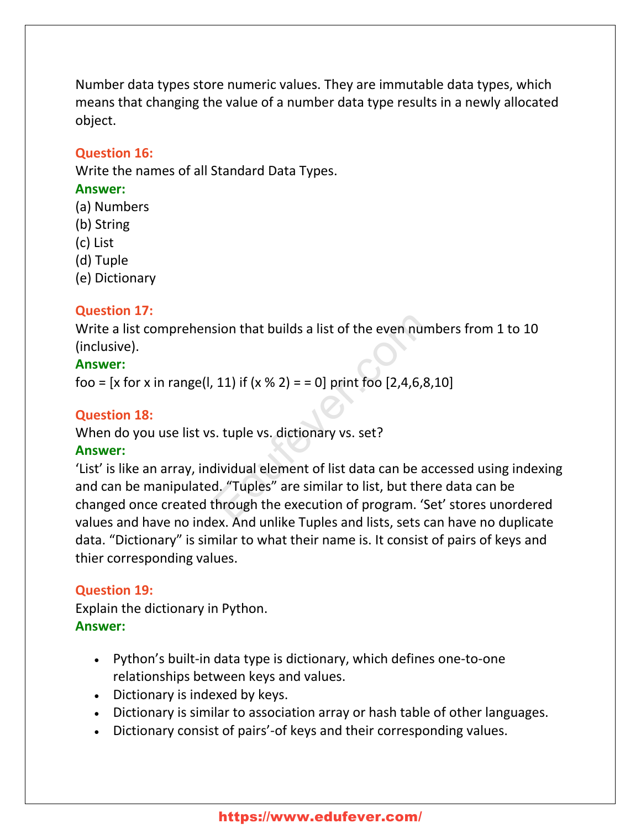Number data types store numeric values. They are immutable data types, which means that changing the value of a number data type results in a newly allocated object.

### **Question 16:**

Write the names of all Standard Data Types.

### **Answer:**

- (a) Numbers
- (b) String
- (c) List
- (d) Tuple
- (e) Dictionary

# **Question 17:**

Write a list comprehension that builds a list of the even numbers from 1 to 10 (inclusive).

# **Answer:**

foo =  $[x \text{ for } x \text{ in } range(1, 11) \text{ if } (x \text{ % } 2) = 0] \text{ print }$  foo  $[2, 4, 6, 8, 10]$ 

### **Question 18:**

When do you use list vs. tuple vs. dictionary vs. set?

# **Answer:**

'List' is like an array, individual element of list data can be accessed using indexing and can be manipulated. "Tuples" are similar to list, but there data can be changed once created through the execution of program. 'Set' stores unordered values and have no index. And unlike Tuples and lists, sets can have no duplicate data. "Dictionary" is similar to what their name is. It consist of pairs of keys and thier corresponding values. Solve that builds a list of the even number<br>
11) if  $(x % 2) = 0$  print foo  $[2,4,6,8,1)$ <br>
13. tuple vs. dictionary vs. set?<br>
15. tuple vs. dictionary vs. set?<br>
16. "Tuples" are similar to list, but there<br>
16. "Tuples" are s

# **Question 19:**

Explain the dictionary in Python. **Answer:**

- Python's built-in data type is dictionary, which defines one-to-one relationships between keys and values.
- Dictionary is indexed by keys.
- Dictionary is similar to association array or hash table of other languages.
- Dictionary consist of pairs'-of keys and their corresponding values.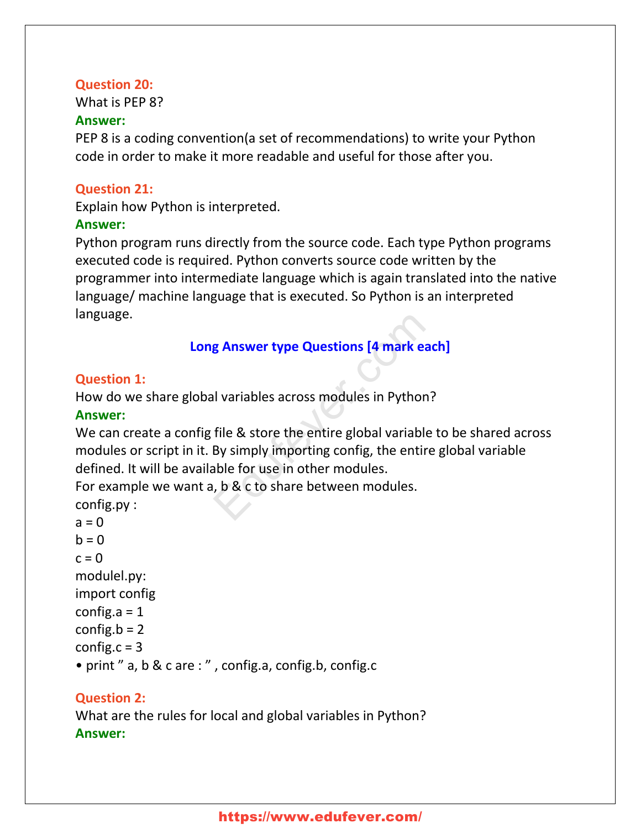#### **Question 20:**

What is PEP 8?

#### **Answer:**

PEP 8 is a coding convention(a set of recommendations) to write your Python code in order to make it more readable and useful for those after you.

### **Question 21:**

Explain how Python is interpreted.

### **Answer:**

Python program runs directly from the source code. Each type Python programs executed code is required. Python converts source code written by the programmer into intermediate language which is again translated into the native language/ machine language that is executed. So Python is an interpreted language.

# **Long Answer type Questions [4 mark each]**

# **Question 1:**

How do we share global variables across modules in Python?

#### **Answer:**

We can create a config file & store the entire global variable to be shared across modules or script in it. By simply importing config, the entire global variable defined. It will be available for use in other modules. **g Answer type Questions [4 mark eacl**<br>al variables across modules in Python?<br>file & store the entire global variable t<br>By simply importing config, the entire able for use in other modules.<br>b, b & c to share between module

For example we want a, b & c to share between modules.

config.py :  $a = 0$  $b = 0$  $c = 0$ modulel.py: import config config.a  $= 1$ config. $b = 2$ config.c  $= 3$ • print " a, b & c are : " , config.a, config.b, config.c

# **Question 2:**

What are the rules for local and global variables in Python? **Answer:**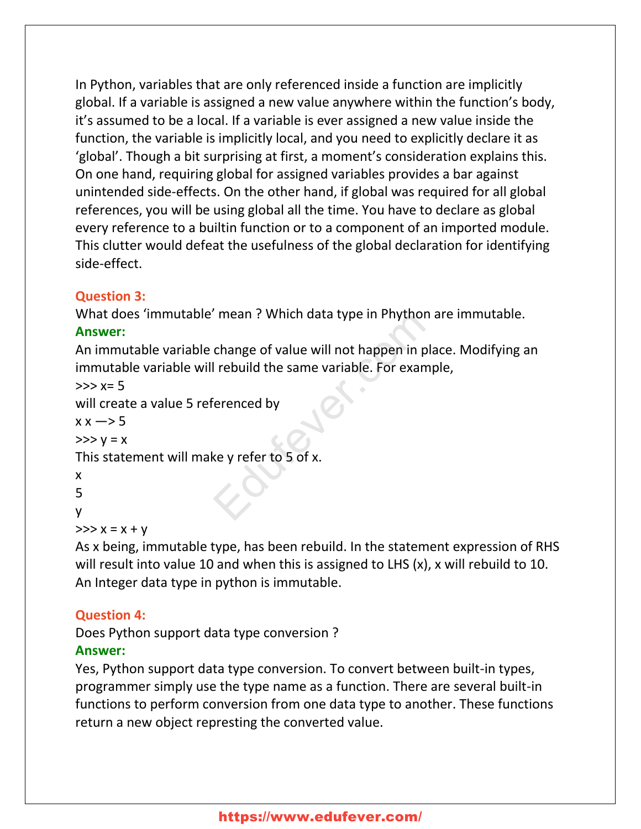In Python, variables that are only referenced inside a function are implicitly global. If a variable is assigned a new value anywhere within the function's body, it's assumed to be a local. If a variable is ever assigned a new value inside the function, the variable is implicitly local, and you need to explicitly declare it as 'global'. Though a bit surprising at first, a moment's consideration explains this. On one hand, requiring global for assigned variables provides a bar against unintended side-effects. On the other hand, if global was required for all global references, you will be using global all the time. You have to declare as global every reference to a builtin function or to a component of an imported module. This clutter would defeat the usefulness of the global declaration for identifying side-effect.

# **Question 3:**

What does 'immutable' mean ? Which data type in Phython are immutable.

# **Answer:**

An immutable variable change of value will not happen in place. Modifying an immutable variable will rebuild the same variable. For example, mean : which data type in Phython a<br>change of value will not happen in pla-<br>l rebuild the same variable. For examp<br>erenced by<br>experienced by<br>experienced by

```
>> x=5
```
will create a value 5 referenced by

```
x \times -5
```

```
>> y = x
```
This statement will make y refer to 5 of x.

```
x
```
5

```
y
```

```
>> x = x + y
```
As x being, immutable type, has been rebuild. In the statement expression of RHS will result into value 10 and when this is assigned to LHS (x), x will rebuild to 10. An Integer data type in python is immutable.

# **Question 4:**

Does Python support data type conversion ?

# **Answer:**

Yes, Python support data type conversion. To convert between built-in types, programmer simply use the type name as a function. There are several built-in functions to perform conversion from one data type to another. These functions return a new object represting the converted value.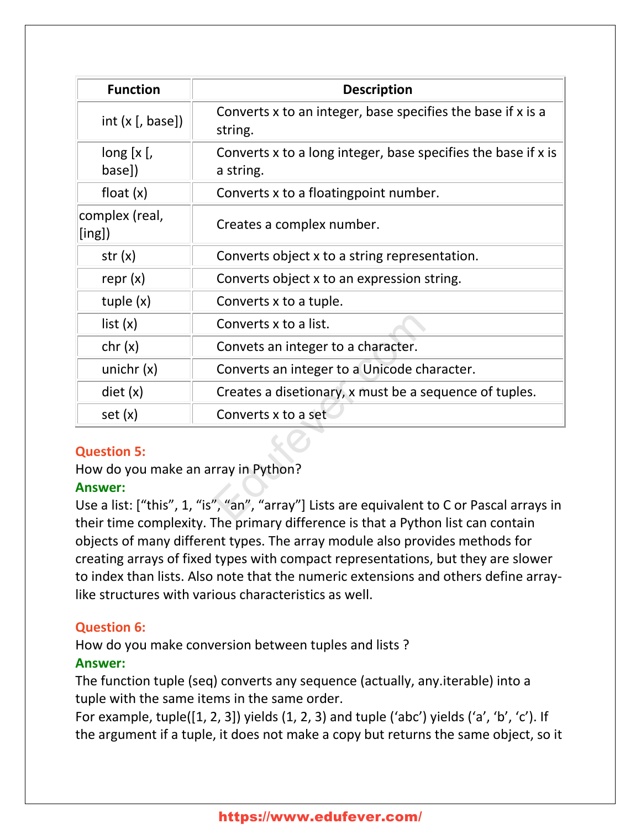| <b>Function</b>                                                                                                                                                                                                                        | <b>Description</b>                                                         |
|----------------------------------------------------------------------------------------------------------------------------------------------------------------------------------------------------------------------------------------|----------------------------------------------------------------------------|
| int $(x [, base])$                                                                                                                                                                                                                     | Converts x to an integer, base specifies the base if x is a<br>string.     |
| long [x [,<br>base])                                                                                                                                                                                                                   | Converts x to a long integer, base specifies the base if x is<br>a string. |
| float $(x)$                                                                                                                                                                                                                            | Converts x to a floatingpoint number.                                      |
| complex (real,<br>$\lbrack\lbrack\mathsf{ing}\rbrack\rbrack$                                                                                                                                                                           | Creates a complex number.                                                  |
| str(x)                                                                                                                                                                                                                                 | Converts object x to a string representation.                              |
| repr $(x)$                                                                                                                                                                                                                             | Converts object x to an expression string.                                 |
| tuple $(x)$                                                                                                                                                                                                                            | Converts x to a tuple.                                                     |
| list(x)                                                                                                                                                                                                                                | Converts x to a list.                                                      |
| chr(x)                                                                                                                                                                                                                                 | Convets an integer to a character.                                         |
| unichr $(x)$                                                                                                                                                                                                                           | Converts an integer to a Unicode character.                                |
| $\text{dist}(x)$                                                                                                                                                                                                                       | Creates a disetionary, x must be a sequence of tuples.                     |
| set(x)                                                                                                                                                                                                                                 | Converts x to a set                                                        |
| <b>Question 5:</b>                                                                                                                                                                                                                     |                                                                            |
| How do you make an array in Python?                                                                                                                                                                                                    |                                                                            |
| <b>Answer:</b>                                                                                                                                                                                                                         |                                                                            |
| Use a list: ["this", 1, "is", "an", "array"] Lists are equivalent to C or Pascal arrays in<br>$\sim$ 10 $\sim$ 100 $\sim$ 100 $\sim$ 100 $\sim$ 100 $\sim$ 100 $\sim$ 100 $\sim$ 100 $\sim$ 100 $\sim$ 100 $\sim$<br>スープ・スープ しょうせいし 大山 |                                                                            |

# **Question 5:**

# **Answer:**

Use a list: ["this", 1, "is", "an", "array"] Lists are equivalent to C or Pascal arrays in their time complexity. The primary difference is that a Python list can contain objects of many different types. The array module also provides methods for creating arrays of fixed types with compact representations, but they are slower to index than lists. Also note that the numeric extensions and others define arraylike structures with various characteristics as well.

# **Question 6:**

How do you make conversion between tuples and lists ?

# **Answer:**

The function tuple (seq) converts any sequence (actually, any.iterable) into a tuple with the same items in the same order.

For example, tuple( $[1, 2, 3]$ ) yields  $(1, 2, 3)$  and tuple ('abc') yields ('a', 'b', 'c'). If the argument if a tuple, it does not make a copy but returns the same object, so it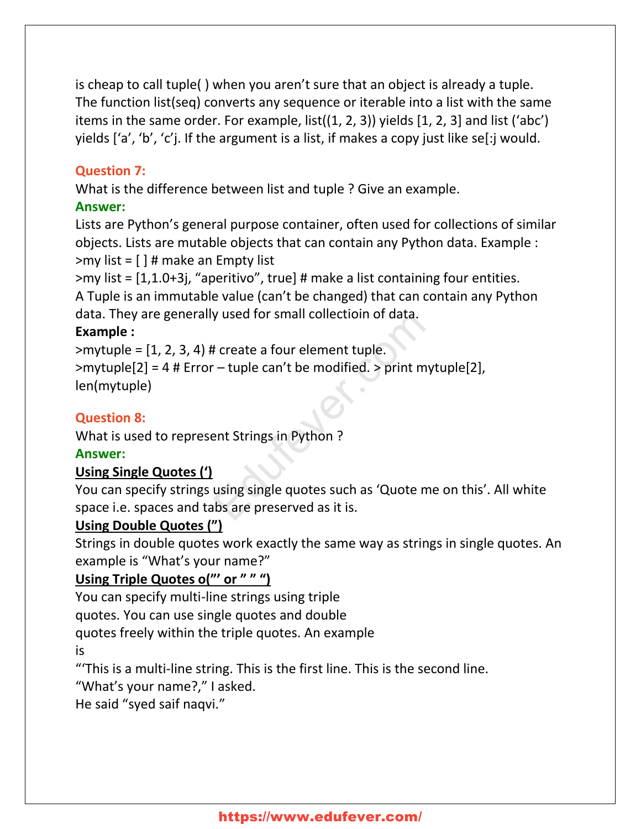is cheap to call tuple( ) when you aren't sure that an object is already a tuple. The function list(seq) converts any sequence or iterable into a list with the same items in the same order. For example, list((1, 2, 3)) yields [1, 2, 3] and list ('abc') yields ['a', 'b', 'c'j. If the argument is a list, if makes a copy just like se[:j would.

# **Question 7:**

What is the difference between list and tuple ? Give an example.

# **Answer:**

Lists are Python's general purpose container, often used for collections of similar objects. Lists are mutable objects that can contain any Python data. Example :  $>$ my list =  $\lceil \cdot \rceil$  # make an Empty list

>my list = [1,1.0+3j, "aperitivo", true] # make a list containing four entities. A Tuple is an immutable value (can't be changed) that can contain any Python data. They are generally used for small collectioin of data.

# **Example :**

 $>$ mytuple =  $[1, 2, 3, 4)$  # create a four element tuple. >mytuple[2] = 4 # Error – tuple can't be modified. > print mytuple[2], len(mytuple) y used for small collection of data.<br>
# create a four element tuple.<br>
- - tuple can't be modified. > print myt<br>
ent Strings in Python ?<br>
using single quotes such as 'Quote me<br>
ibs are preserved as it is.

# **Question 8:**

What is used to represent Strings in Python ?

# **Answer:**

# **Using Single Quotes (')**

You can specify strings using single quotes such as 'Quote me on this'. All white space i.e. spaces and tabs are preserved as it is.

# **Using Double Quotes (")**

Strings in double quotes work exactly the same way as strings in single quotes. An example is "What's your name?"

# **Using Triple Quotes o("' or " " ")**

You can specify multi-line strings using triple

quotes. You can use single quotes and double

quotes freely within the triple quotes. An example

is

"'This is a multi-line string. This is the first line. This is the second line.

"What's your name?," I asked.

He said "syed saif naqvi."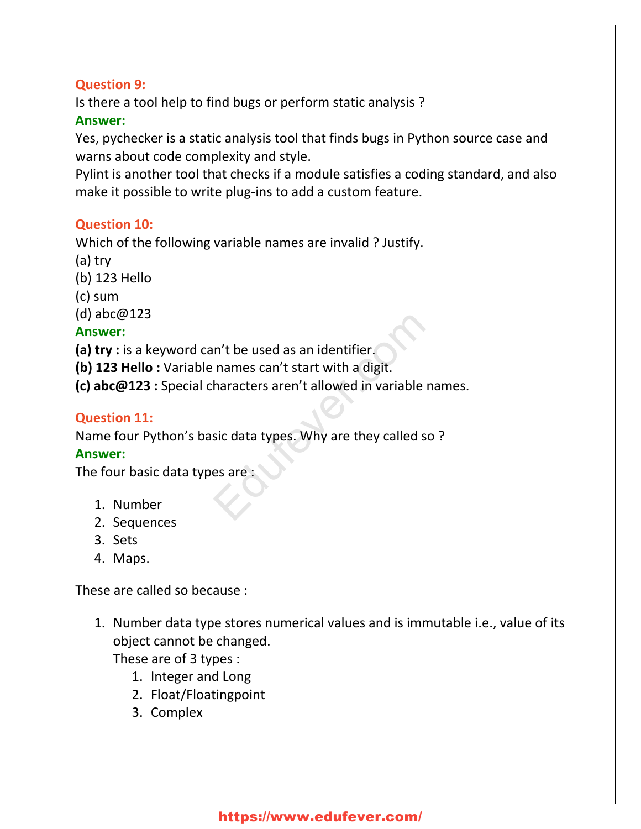# **Question 9:**

Is there a tool help to find bugs or perform static analysis ?

# **Answer:**

Yes, pychecker is a static analysis tool that finds bugs in Python source case and warns about code complexity and style.

Pylint is another tool that checks if a module satisfies a coding standard, and also make it possible to write plug-ins to add a custom feature.

# **Question 10:**

Which of the following variable names are invalid ? Justify.

- (a) try
- (b) 123 Hello
- (c) sum

(d) abc@123

# **Answer:**

**(a) try :** is a keyword can't be used as an identifier.

**(b) 123 Hello :** Variable names can't start with a digit.

**(c) abc@123 :** Special characters aren't allowed in variable names. m't be used as an identifier.<br>
names can't start with a digit.<br>
haracters aren't allowed in variable na<br>
sic data types. Why are they called so<br>
es are :

# **Question 11:**

Name four Python's basic data types. Why are they called so ?

# **Answer:**

The four basic data types are :

- 1. Number
- 2. Sequences
- 3. Sets
- 4. Maps.

These are called so because :

1. Number data type stores numerical values and is immutable i.e., value of its object cannot be changed.

These are of 3 types :

- 1. Integer and Long
- 2. Float/Floatingpoint
- 3. Complex